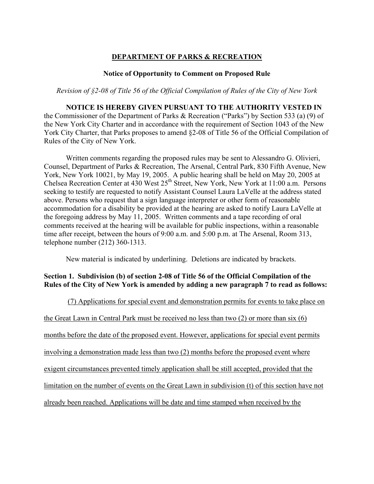# **DEPARTMENT OF PARKS & RECREATION**

### **Notice of Opportunity to Comment on Proposed Rule**

*Revision of §2-08 of Title 56 of the Official Compilation of Rules of the City of New York*

## **NOTICE IS HEREBY GIVEN PURSUANT TO THE AUTHORITY VESTED IN**

the Commissioner of the Department of Parks & Recreation ("Parks") by Section 533 (a) (9) of the New York City Charter and in accordance with the requirement of Section 1043 of the New York City Charter, that Parks proposes to amend §2-08 of Title 56 of the Official Compilation of Rules of the City of New York.

Written comments regarding the proposed rules may be sent to Alessandro G. Olivieri, Counsel, Department of Parks & Recreation, The Arsenal, Central Park, 830 Fifth Avenue, New York, New York 10021, by May 19, 2005. A public hearing shall be held on May 20, 2005 at Chelsea Recreation Center at 430 West 25<sup>th</sup> Street, New York, New York at 11:00 a.m. Persons seeking to testify are requested to notify Assistant Counsel Laura LaVelle at the address stated above. Persons who request that a sign language interpreter or other form of reasonable accommodation for a disability be provided at the hearing are asked to notify Laura LaVelle at the foregoing address by May 11, 2005. Written comments and a tape recording of oral comments received at the hearing will be available for public inspections, within a reasonable time after receipt, between the hours of 9:00 a.m. and 5:00 p.m. at The Arsenal, Room 313, telephone number (212) 360-1313.

New material is indicated by underlining. Deletions are indicated by brackets.

## **Section 1. Subdivision (b) of section 2-08 of Title 56 of the Official Compilation of the Rules of the City of New York is amended by adding a new paragraph 7 to read as follows:**

(7) Applications for special event and demonstration permits for events to take place on the Great Lawn in Central Park must be received no less than two (2) or more than six (6) months before the date of the proposed event. However, applications for special event permits involving a demonstration made less than two (2) months before the proposed event where exigent circumstances prevented timely application shall be still accepted, provided that the limitation on the number of events on the Great Lawn in subdivision (t) of this section have not already been reached. Applications will be date and time stamped when received by the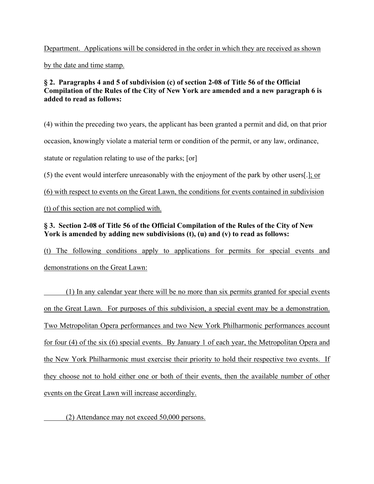Department. Applications will be considered in the order in which they are received as shown by the date and time stamp.

## **§ 2. Paragraphs 4 and 5 of subdivision (c) of section 2-08 of Title 56 of the Official Compilation of the Rules of the City of New York are amended and a new paragraph 6 is added to read as follows:**

(4) within the preceding two years, the applicant has been granted a permit and did, on that prior occasion, knowingly violate a material term or condition of the permit, or any law, ordinance, statute or regulation relating to use of the parks; [or]

(5) the event would interfere unreasonably with the enjoyment of the park by other users[.]; or

(6) with respect to events on the Great Lawn, the conditions for events contained in subdivision

(t) of this section are not complied with.

# **§ 3. Section 2-08 of Title 56 of the Official Compilation of the Rules of the City of New York is amended by adding new subdivisions (t), (u) and (v) to read as follows:**

(t) The following conditions apply to applications for permits for special events and demonstrations on the Great Lawn:

 (1) In any calendar year there will be no more than six permits granted for special events on the Great Lawn. For purposes of this subdivision, a special event may be a demonstration. Two Metropolitan Opera performances and two New York Philharmonic performances account for four (4) of the six (6) special events. By January 1 of each year, the Metropolitan Opera and the New York Philharmonic must exercise their priority to hold their respective two events. If they choose not to hold either one or both of their events, then the available number of other events on the Great Lawn will increase accordingly.

(2) Attendance may not exceed 50,000 persons.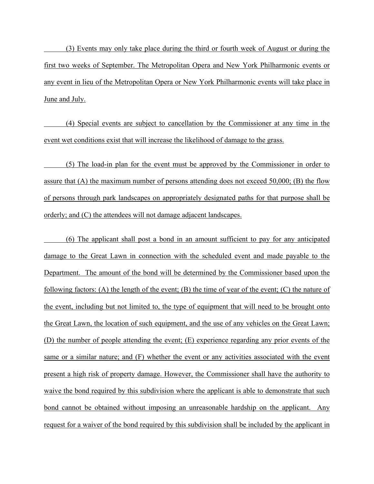(3) Events may only take place during the third or fourth week of August or during the first two weeks of September. The Metropolitan Opera and New York Philharmonic events or any event in lieu of the Metropolitan Opera or New York Philharmonic events will take place in June and July.

 (4) Special events are subject to cancellation by the Commissioner at any time in the event wet conditions exist that will increase the likelihood of damage to the grass.

 (5) The load-in plan for the event must be approved by the Commissioner in order to assure that (A) the maximum number of persons attending does not exceed 50,000; (B) the flow of persons through park landscapes on appropriately designated paths for that purpose shall be orderly; and (C) the attendees will not damage adjacent landscapes.

 (6) The applicant shall post a bond in an amount sufficient to pay for any anticipated damage to the Great Lawn in connection with the scheduled event and made payable to the Department. The amount of the bond will be determined by the Commissioner based upon the following factors: (A) the length of the event; (B) the time of year of the event; (C) the nature of the event, including but not limited to, the type of equipment that will need to be brought onto the Great Lawn, the location of such equipment, and the use of any vehicles on the Great Lawn; (D) the number of people attending the event; (E) experience regarding any prior events of the same or a similar nature; and (F) whether the event or any activities associated with the event present a high risk of property damage. However, the Commissioner shall have the authority to waive the bond required by this subdivision where the applicant is able to demonstrate that such bond cannot be obtained without imposing an unreasonable hardship on the applicant. Any request for a waiver of the bond required by this subdivision shall be included by the applicant in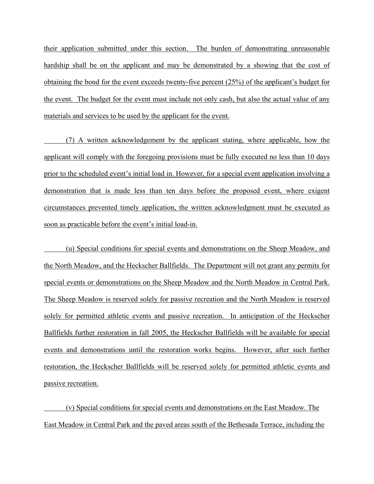their application submitted under this section. The burden of demonstrating unreasonable hardship shall be on the applicant and may be demonstrated by a showing that the cost of obtaining the bond for the event exceeds twenty-five percent (25%) of the applicant's budget for the event. The budget for the event must include not only cash, but also the actual value of any materials and services to be used by the applicant for the event.

 (7) A written acknowledgement by the applicant stating, where applicable, how the applicant will comply with the foregoing provisions must be fully executed no less than 10 days prior to the scheduled event's initial load in. However, for a special event application involving a demonstration that is made less than ten days before the proposed event, where exigent circumstances prevented timely application, the written acknowledgment must be executed as soon as practicable before the event's initial load-in.

 (u) Special conditions for special events and demonstrations on the Sheep Meadow, and the North Meadow, and the Heckscher Ballfields. The Department will not grant any permits for special events or demonstrations on the Sheep Meadow and the North Meadow in Central Park. The Sheep Meadow is reserved solely for passive recreation and the North Meadow is reserved solely for permitted athletic events and passive recreation. In anticipation of the Heckscher Ballfields further restoration in fall 2005, the Heckscher Ballfields will be available for special events and demonstrations until the restoration works begins. However, after such further restoration, the Heckscher Ballfields will be reserved solely for permitted athletic events and passive recreation.

 (v) Special conditions for special events and demonstrations on the East Meadow. The East Meadow in Central Park and the paved areas south of the Bethesada Terrace, including the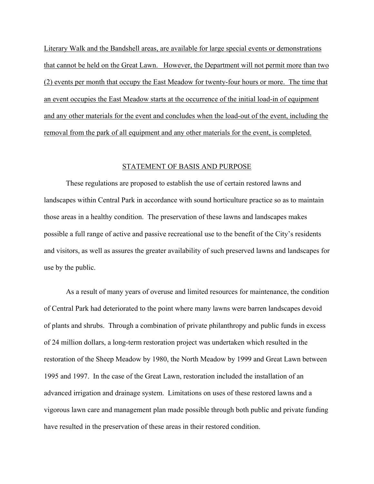Literary Walk and the Bandshell areas, are available for large special events or demonstrations that cannot be held on the Great Lawn. However, the Department will not permit more than two (2) events per month that occupy the East Meadow for twenty-four hours or more. The time that an event occupies the East Meadow starts at the occurrence of the initial load-in of equipment and any other materials for the event and concludes when the load-out of the event, including the removal from the park of all equipment and any other materials for the event, is completed.

### STATEMENT OF BASIS AND PURPOSE

 These regulations are proposed to establish the use of certain restored lawns and landscapes within Central Park in accordance with sound horticulture practice so as to maintain those areas in a healthy condition. The preservation of these lawns and landscapes makes possible a full range of active and passive recreational use to the benefit of the City's residents and visitors, as well as assures the greater availability of such preserved lawns and landscapes for use by the public.

 As a result of many years of overuse and limited resources for maintenance, the condition of Central Park had deteriorated to the point where many lawns were barren landscapes devoid of plants and shrubs. Through a combination of private philanthropy and public funds in excess of 24 million dollars, a long-term restoration project was undertaken which resulted in the restoration of the Sheep Meadow by 1980, the North Meadow by 1999 and Great Lawn between 1995 and 1997. In the case of the Great Lawn, restoration included the installation of an advanced irrigation and drainage system. Limitations on uses of these restored lawns and a vigorous lawn care and management plan made possible through both public and private funding have resulted in the preservation of these areas in their restored condition.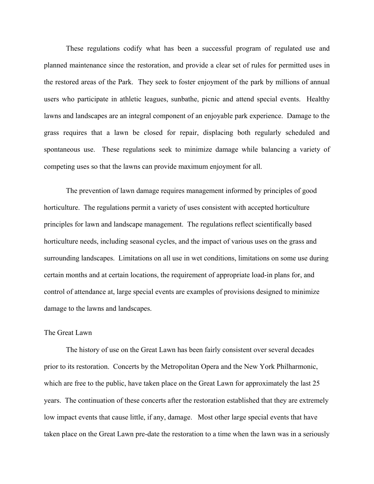These regulations codify what has been a successful program of regulated use and planned maintenance since the restoration, and provide a clear set of rules for permitted uses in the restored areas of the Park. They seek to foster enjoyment of the park by millions of annual users who participate in athletic leagues, sunbathe, picnic and attend special events. Healthy lawns and landscapes are an integral component of an enjoyable park experience. Damage to the grass requires that a lawn be closed for repair, displacing both regularly scheduled and spontaneous use. These regulations seek to minimize damage while balancing a variety of competing uses so that the lawns can provide maximum enjoyment for all.

The prevention of lawn damage requires management informed by principles of good horticulture. The regulations permit a variety of uses consistent with accepted horticulture principles for lawn and landscape management. The regulations reflect scientifically based horticulture needs, including seasonal cycles, and the impact of various uses on the grass and surrounding landscapes. Limitations on all use in wet conditions, limitations on some use during certain months and at certain locations, the requirement of appropriate load-in plans for, and control of attendance at, large special events are examples of provisions designed to minimize damage to the lawns and landscapes.

### The Great Lawn

 The history of use on the Great Lawn has been fairly consistent over several decades prior to its restoration. Concerts by the Metropolitan Opera and the New York Philharmonic, which are free to the public, have taken place on the Great Lawn for approximately the last 25 years. The continuation of these concerts after the restoration established that they are extremely low impact events that cause little, if any, damage. Most other large special events that have taken place on the Great Lawn pre-date the restoration to a time when the lawn was in a seriously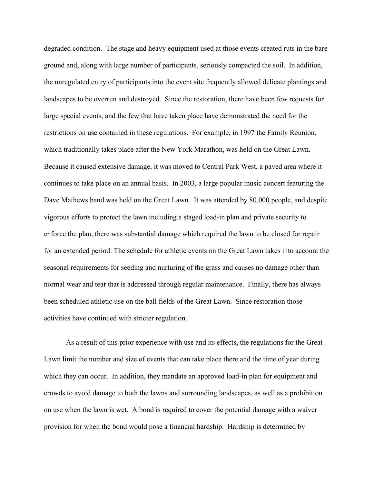degraded condition. The stage and heavy equipment used at those events created ruts in the bare ground and, along with large number of participants, seriously compacted the soil. In addition, the unregulated entry of participants into the event site frequently allowed delicate plantings and landscapes to be overrun and destroyed. Since the restoration, there have been few requests for large special events, and the few that have taken place have demonstrated the need for the restrictions on use contained in these regulations. For example, in 1997 the Family Reunion, which traditionally takes place after the New York Marathon, was held on the Great Lawn. Because it caused extensive damage, it was moved to Central Park West, a paved area where it continues to take place on an annual basis. In 2003, a large popular music concert featuring the Dave Mathews band was held on the Great Lawn. It was attended by 80,000 people, and despite vigorous efforts to protect the lawn including a staged load-in plan and private security to enforce the plan, there was substantial damage which required the lawn to be closed for repair for an extended period. The schedule for athletic events on the Great Lawn takes into account the seasonal requirements for seeding and nurturing of the grass and causes no damage other than normal wear and tear that is addressed through regular maintenance. Finally, there has always been scheduled athletic use on the ball fields of the Great Lawn. Since restoration those activities have continued with stricter regulation.

As a result of this prior experience with use and its effects, the regulations for the Great Lawn limit the number and size of events that can take place there and the time of year during which they can occur. In addition, they mandate an approved load-in plan for equipment and crowds to avoid damage to both the lawns and surrounding landscapes, as well as a prohibition on use when the lawn is wet. A bond is required to cover the potential damage with a waiver provision for when the bond would pose a financial hardship. Hardship is determined by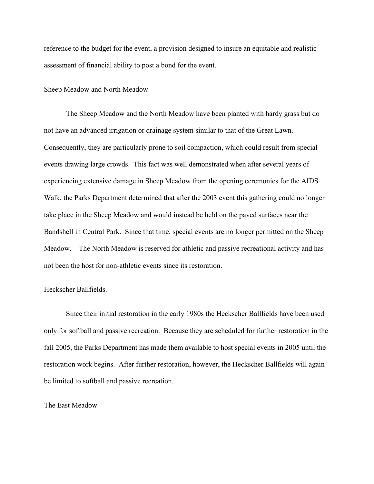reference to the budget for the event, a provision designed to insure an equitable and realistic assessment of financial ability to post a bond for the event.

Sheep Meadow and North Meadow

 The Sheep Meadow and the North Meadow have been planted with hardy grass but do not have an advanced irrigation or drainage system similar to that of the Great Lawn. Consequently, they are particularly prone to soil compaction, which could result from special events drawing large crowds. This fact was well demonstrated when after several years of experiencing extensive damage in Sheep Meadow from the opening ceremonies for the AIDS Walk, the Parks Department determined that after the 2003 event this gathering could no longer take place in the Sheep Meadow and would instead be held on the paved surfaces near the Bandshell in Central Park. Since that time, special events are no longer permitted on the Sheep Meadow. The North Meadow is reserved for athletic and passive recreational activity and has not been the host for non-athletic events since its restoration.

## Heckscher Ballfields.

 Since their initial restoration in the early 1980s the Heckscher Ballfields have been used only for softball and passive recreation. Because they are scheduled for further restoration in the fall 2005, the Parks Department has made them available to host special events in 2005 until the restoration work begins. After further restoration, however, the Heckscher Ballfields will again be limited to softball and passive recreation.

#### The East Meadow